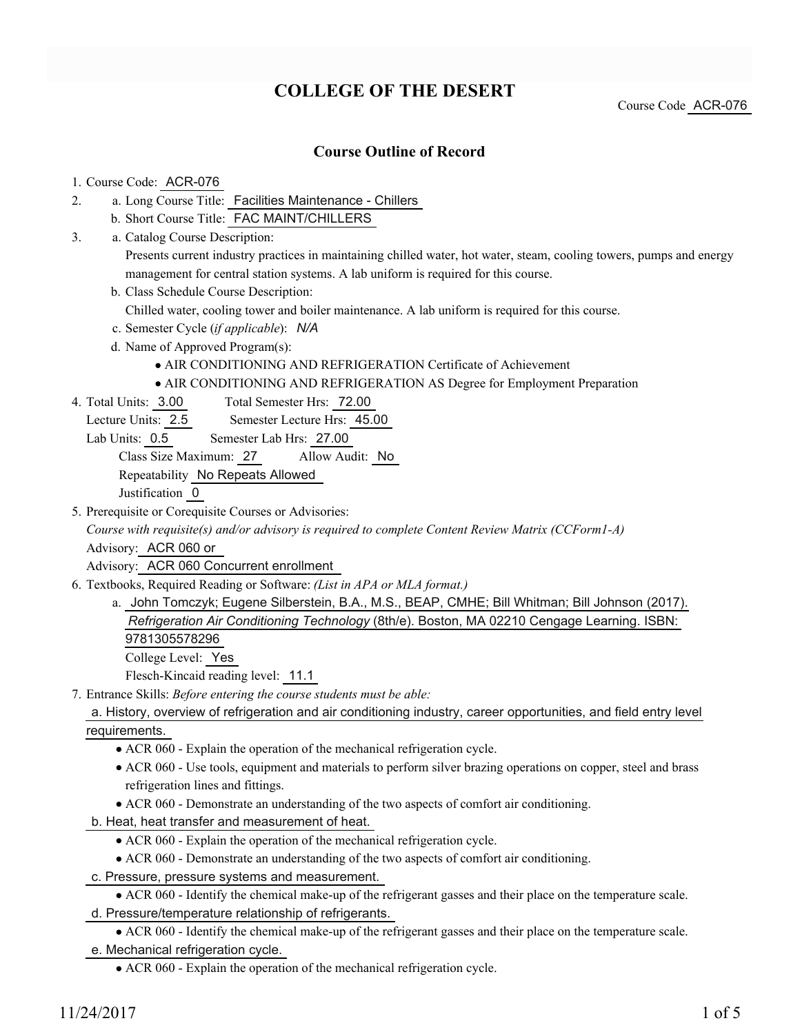# **COLLEGE OF THE DESERT**

Course Code ACR-076

### **Course Outline of Record**

#### 1. Course Code: ACR-076

- a. Long Course Title: Facilities Maintenance Chillers 2.
	- b. Short Course Title: FAC MAINT/CHILLERS
- Catalog Course Description: a. 3.

Presents current industry practices in maintaining chilled water, hot water, steam, cooling towers, pumps and energy management for central station systems. A lab uniform is required for this course.

b. Class Schedule Course Description:

Chilled water, cooling tower and boiler maintenance. A lab uniform is required for this course.

- c. Semester Cycle (*if applicable*): *N/A*
- d. Name of Approved Program(s):
	- AIR CONDITIONING AND REFRIGERATION Certificate of Achievement
	- AIR CONDITIONING AND REFRIGERATION AS Degree for Employment Preparation
- Total Semester Hrs: 72.00 4. Total Units: 3.00

Lecture Units: 2.5 Semester Lecture Hrs: 45.00

Lab Units: 0.5 Semester Lab Hrs: 27.00

Class Size Maximum: 27 Allow Audit: No

Repeatability No Repeats Allowed

Justification 0

5. Prerequisite or Corequisite Courses or Advisories:

*Course with requisite(s) and/or advisory is required to complete Content Review Matrix (CCForm1-A)* Advisory: ACR 060 or

Advisory: ACR 060 Concurrent enrollment

- Textbooks, Required Reading or Software: *(List in APA or MLA format.)* 6.
	- a. John Tomczyk; Eugene Silberstein, B.A., M.S., BEAP, CMHE; Bill Whitman; Bill Johnson (2017). *Refrigeration Air Conditioning Technology* (8th/e). Boston, MA 02210 Cengage Learning. ISBN: 9781305578296 College Level: Yes

Flesch-Kincaid reading level: 11.1

Entrance Skills: *Before entering the course students must be able:* 7.

#### a. History, overview of refrigeration and air conditioning industry, career opportunities, and field entry level requirements.

- ACR 060 Explain the operation of the mechanical refrigeration cycle.
- ACR 060 Use tools, equipment and materials to perform silver brazing operations on copper, steel and brass refrigeration lines and fittings.
- ACR 060 Demonstrate an understanding of the two aspects of comfort air conditioning.
- b. Heat, heat transfer and measurement of heat.
	- ACR 060 Explain the operation of the mechanical refrigeration cycle.
	- ACR 060 Demonstrate an understanding of the two aspects of comfort air conditioning.
- c. Pressure, pressure systems and measurement.
- ACR 060 Identify the chemical make-up of the refrigerant gasses and their place on the temperature scale. d. Pressure/temperature relationship of refrigerants.
- ACR 060 Identify the chemical make-up of the refrigerant gasses and their place on the temperature scale. e. Mechanical refrigeration cycle.

ACR 060 - Explain the operation of the mechanical refrigeration cycle.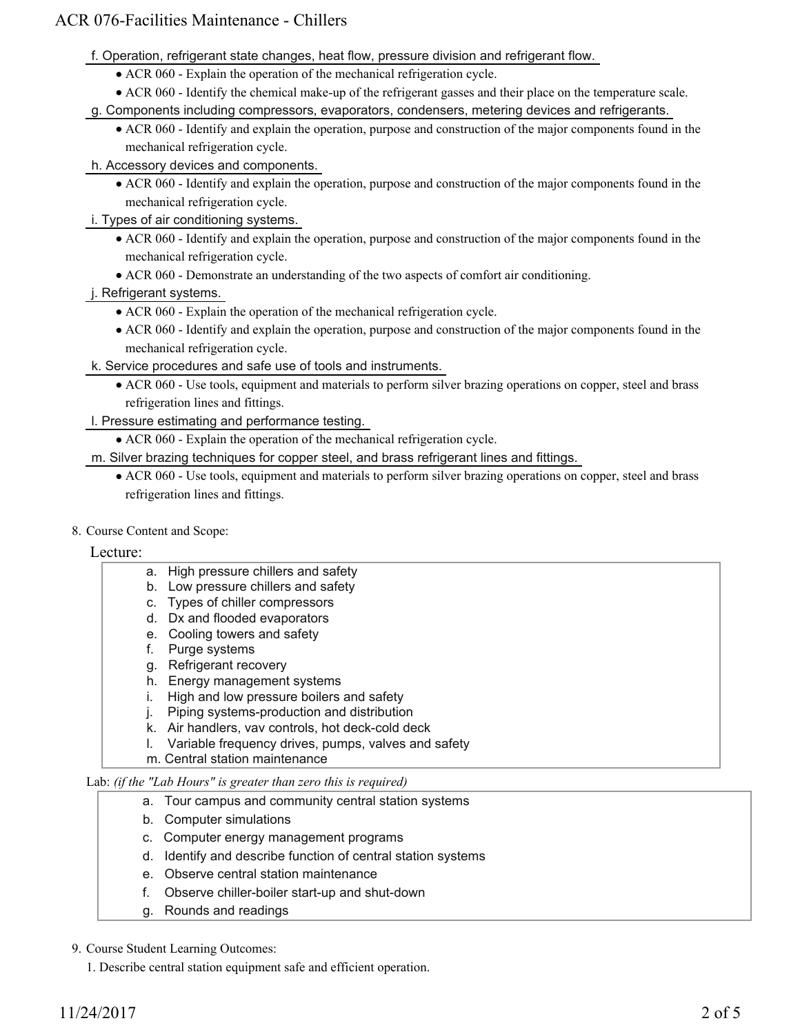## ACR 076-Facilities Maintenance - Chillers

- f. Operation, refrigerant state changes, heat flow, pressure division and refrigerant flow.
	- ACR 060 Explain the operation of the mechanical refrigeration cycle.
	- ACR 060 Identify the chemical make-up of the refrigerant gasses and their place on the temperature scale.
- g. Components including compressors, evaporators, condensers, metering devices and refrigerants.
	- ACR 060 Identify and explain the operation, purpose and construction of the major components found in the mechanical refrigeration cycle.

#### h. Accessory devices and components.

- ACR 060 Identify and explain the operation, purpose and construction of the major components found in the mechanical refrigeration cycle.
- i. Types of air conditioning systems.
	- ACR 060 Identify and explain the operation, purpose and construction of the major components found in the mechanical refrigeration cycle.
	- ACR 060 Demonstrate an understanding of the two aspects of comfort air conditioning.

#### j. Refrigerant systems.

- ACR 060 Explain the operation of the mechanical refrigeration cycle.
- ACR 060 Identify and explain the operation, purpose and construction of the major components found in the mechanical refrigeration cycle.
- k. Service procedures and safe use of tools and instruments.
	- ACR 060 Use tools, equipment and materials to perform silver brazing operations on copper, steel and brass refrigeration lines and fittings.
- l. Pressure estimating and performance testing.
	- ACR 060 Explain the operation of the mechanical refrigeration cycle.
- m. Silver brazing techniques for copper steel, and brass refrigerant lines and fittings.
	- ACR 060 Use tools, equipment and materials to perform silver brazing operations on copper, steel and brass refrigeration lines and fittings.
- 8. Course Content and Scope:

#### Lecture:

- a. High pressure chillers and safety
- b. Low pressure chillers and safety
- c. Types of chiller compressors
- d. Dx and flooded evaporators
- e. Cooling towers and safety
- f. Purge systems
- g. Refrigerant recovery
- h. Energy management systems
- i. High and low pressure boilers and safety
- j. Piping systems-production and distribution
- k. Air handlers, vav controls, hot deck-cold deck
- l. Variable frequency drives, pumps, valves and safety
- m. Central station maintenance

Lab: *(if the "Lab Hours" is greater than zero this is required)*

- a. Tour campus and community central station systems
- b. Computer simulations
- c. Computer energy management programs
- d. Identify and describe function of central station systems
- e. Observe central station maintenance
- f. Observe chiller-boiler start-up and shut-down
- g. Rounds and readings

#### 9. Course Student Learning Outcomes:

1. Describe central station equipment safe and efficient operation.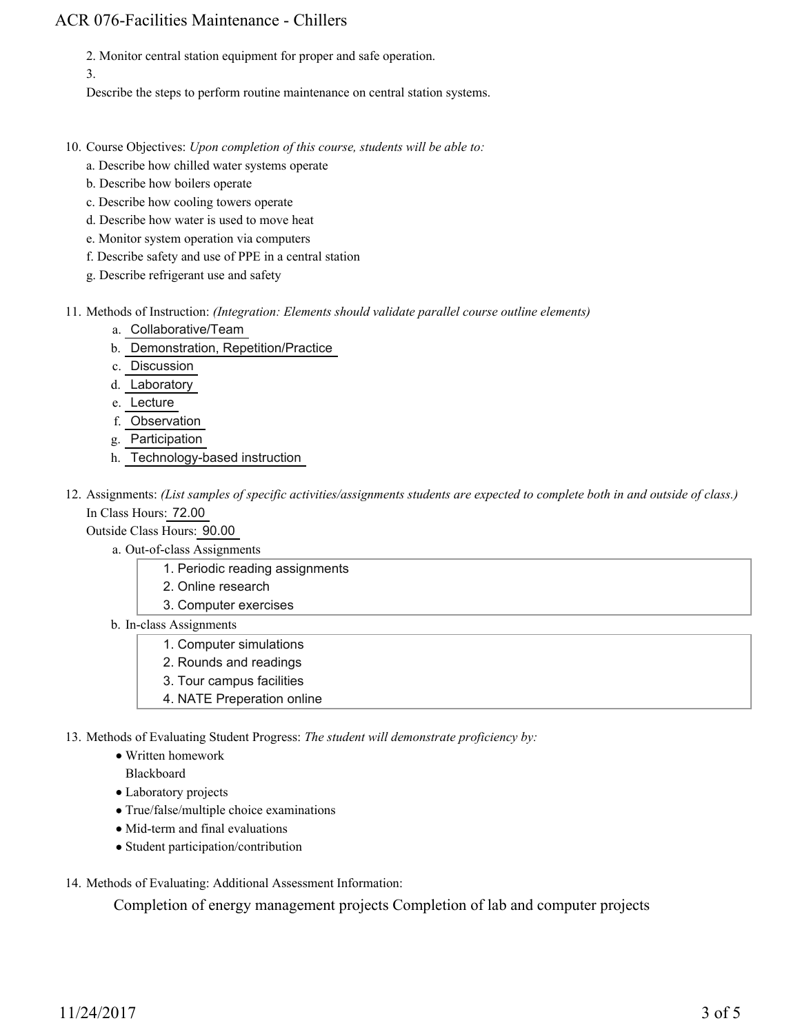## ACR 076-Facilities Maintenance - Chillers

2. Monitor central station equipment for proper and safe operation.

3.

Describe the steps to perform routine maintenance on central station systems.

- 10. Course Objectives: Upon completion of this course, students will be able to:
	- a. Describe how chilled water systems operate
	- b. Describe how boilers operate
	- c. Describe how cooling towers operate
	- d. Describe how water is used to move heat
	- e. Monitor system operation via computers
	- f. Describe safety and use of PPE in a central station
	- g. Describe refrigerant use and safety
- Methods of Instruction: *(Integration: Elements should validate parallel course outline elements)* 11.
	- a. Collaborative/Team
	- b. Demonstration, Repetition/Practice
	- c. Discussion
	- d. Laboratory
	- e. Lecture
	- f. Observation
	- g. Participation
	- h. Technology-based instruction
- 12. Assignments: (List samples of specific activities/assignments students are expected to complete both in and outside of class.) In Class Hours: 72.00

Outside Class Hours: 90.00

- a. Out-of-class Assignments
	- 1. Periodic reading assignments
	- 2. Online research
	- 3. Computer exercises
- b. In-class Assignments
	- 1. Computer simulations
	- 2. Rounds and readings
	- 3. Tour campus facilities
	- 4. NATE Preperation online

13. Methods of Evaluating Student Progress: The student will demonstrate proficiency by:

- Written homework
- Blackboard
- Laboratory projects
- True/false/multiple choice examinations
- Mid-term and final evaluations
- Student participation/contribution
- 14. Methods of Evaluating: Additional Assessment Information:

Completion of energy management projects Completion of lab and computer projects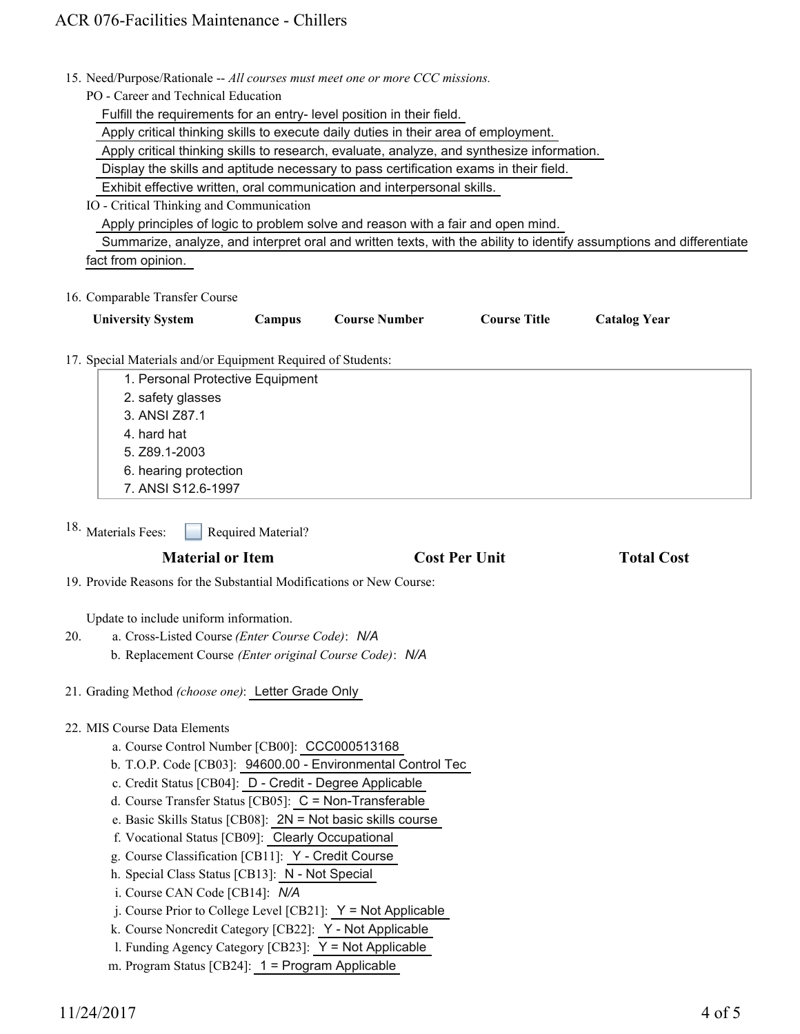15. Need/Purpose/Rationale -- All courses must meet one or more CCC missions.

PO - Career and Technical Education

Fulfill the requirements for an entry- level position in their field.

Apply critical thinking skills to execute daily duties in their area of employment.

Apply critical thinking skills to research, evaluate, analyze, and synthesize information.

Display the skills and aptitude necessary to pass certification exams in their field.

Exhibit effective written, oral communication and interpersonal skills.

#### IO - Critical Thinking and Communication

Apply principles of logic to problem solve and reason with a fair and open mind.

 Summarize, analyze, and interpret oral and written texts, with the ability to identify assumptions and differentiate fact from opinion.

#### 16. Comparable Transfer Course

| <b>University System</b> | $\mathcal{L}$ ampus | <b>Course Number</b> | <b>Course Title</b> | <b>Catalog Year</b> |  |
|--------------------------|---------------------|----------------------|---------------------|---------------------|--|
|                          |                     |                      |                     |                     |  |

17. Special Materials and/or Equipment Required of Students:

| 1. Personal Protective Equipment |  |
|----------------------------------|--|
| 2. safety glasses                |  |
| 3. ANSI Z87.1                    |  |
| 4. hard hat                      |  |
| 5. Z89.1-2003                    |  |
| 6. hearing protection            |  |
| 7. ANSI S12.6-1997               |  |

Required Material? 18. Materials Fees:

#### **Material or Item Cost Per Unit Total Cost**

19. Provide Reasons for the Substantial Modifications or New Course:

Update to include uniform information.

- a. Cross-Listed Course *(Enter Course Code)*: *N/A* 20.
	- b. Replacement Course *(Enter original Course Code)*: *N/A*

21. Grading Method *(choose one)*: Letter Grade Only

#### MIS Course Data Elements 22.

- a. Course Control Number [CB00]: CCC000513168
- b. T.O.P. Code [CB03]: 94600.00 Environmental Control Tec
- c. Credit Status [CB04]: D Credit Degree Applicable
- d. Course Transfer Status [CB05]: C = Non-Transferable
- e. Basic Skills Status [CB08]: 2N = Not basic skills course
- f. Vocational Status [CB09]: Clearly Occupational
- g. Course Classification [CB11]: Y Credit Course
- h. Special Class Status [CB13]: N Not Special
- i. Course CAN Code [CB14]: *N/A*
- j. Course Prior to College Level [CB21]: Y = Not Applicable
- k. Course Noncredit Category [CB22]: Y Not Applicable
- l. Funding Agency Category [CB23]: Y = Not Applicable
- m. Program Status [CB24]: 1 = Program Applicable